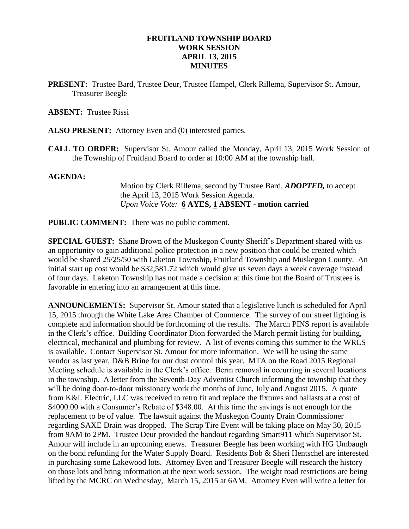### **FRUITLAND TOWNSHIP BOARD WORK SESSION APRIL 13, 2015 MINUTES**

**PRESENT:** Trustee Bard, Trustee Deur, Trustee Hampel, Clerk Rillema, Supervisor St. Amour, Treasurer Beegle

### **ABSENT:** Trustee Rissi

- **ALSO PRESENT:** Attorney Even and (0) interested parties.
- **CALL TO ORDER:** Supervisor St. Amour called the Monday, April 13, 2015 Work Session of the Township of Fruitland Board to order at 10:00 AM at the township hall.

#### **AGENDA:**

Motion by Clerk Rillema, second by Trustee Bard, *ADOPTED,* to accept the April 13, 2015 Work Session Agenda. *Upon Voice Vote:* **6 AYES, 1 ABSENT - motion carried**

**PUBLIC COMMENT:** There was no public comment.

**SPECIAL GUEST:** Shane Brown of the Muskegon County Sheriff's Department shared with us an opportunity to gain additional police protection in a new position that could be created which would be shared 25/25/50 with Laketon Township, Fruitland Township and Muskegon County. An initial start up cost would be \$32,581.72 which would give us seven days a week coverage instead of four days. Laketon Township has not made a decision at this time but the Board of Trustees is favorable in entering into an arrangement at this time.

**ANNOUNCEMENTS:** Supervisor St. Amour stated that a legislative lunch is scheduled for April 15, 2015 through the White Lake Area Chamber of Commerce. The survey of our street lighting is complete and information should be forthcoming of the results. The March PINS report is available in the Clerk's office. Building Coordinator Dion forwarded the March permit listing for building, electrical, mechanical and plumbing for review. A list of events coming this summer to the WRLS is available. Contact Supervisor St. Amour for more information. We will be using the same vendor as last year, D&B Brine for our dust control this year. MTA on the Road 2015 Regional Meeting schedule is available in the Clerk's office. Berm removal in occurring in several locations in the township. A letter from the Seventh-Day Adventist Church informing the township that they will be doing door-to-door missionary work the months of June, July and August 2015. A quote from K&L Electric, LLC was received to retro fit and replace the fixtures and ballasts at a cost of \$4000.00 with a Consumer's Rebate of \$348.00. At this time the savings is not enough for the replacement to be of value. The lawsuit against the Muskegon County Drain Commissioner regarding SAXE Drain was dropped. The Scrap Tire Event will be taking place on May 30, 2015 from 9AM to 2PM. Trustee Deur provided the handout regarding Smart911 which Supervisor St. Amour will include in an upcoming enews. Treasurer Beegle has been working with HG Umbaugh on the bond refunding for the Water Supply Board. Residents Bob & Sheri Hentschel are interested in purchasing some Lakewood lots. Attorney Even and Treasurer Beegle will research the history on those lots and bring information at the next work session. The weight road restrictions are being lifted by the MCRC on Wednesday, March 15, 2015 at 6AM. Attorney Even will write a letter for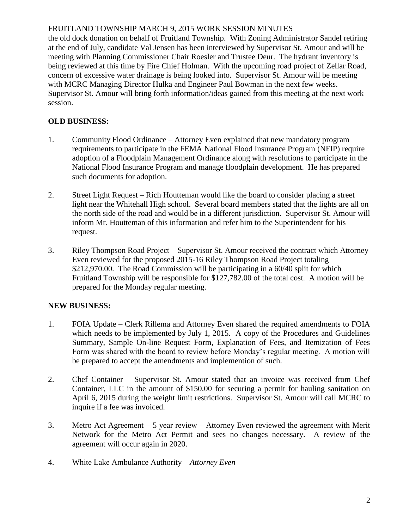## FRUITLAND TOWNSHIP MARCH 9, 2015 WORK SESSION MINUTES

the old dock donation on behalf of Fruitland Township. With Zoning Administrator Sandel retiring at the end of July, candidate Val Jensen has been interviewed by Supervisor St. Amour and will be meeting with Planning Commissioner Chair Roesler and Trustee Deur. The hydrant inventory is being reviewed at this time by Fire Chief Holman. With the upcoming road project of Zellar Road, concern of excessive water drainage is being looked into. Supervisor St. Amour will be meeting with MCRC Managing Director Hulka and Engineer Paul Bowman in the next few weeks. Supervisor St. Amour will bring forth information/ideas gained from this meeting at the next work session.

# **OLD BUSINESS:**

- 1. Community Flood Ordinance Attorney Even explained that new mandatory program requirements to participate in the FEMA National Flood Insurance Program (NFIP) require adoption of a Floodplain Management Ordinance along with resolutions to participate in the National Flood Insurance Program and manage floodplain development. He has prepared such documents for adoption.
- 2. Street Light Request Rich Houtteman would like the board to consider placing a street light near the Whitehall High school. Several board members stated that the lights are all on the north side of the road and would be in a different jurisdiction. Supervisor St. Amour will inform Mr. Houtteman of this information and refer him to the Superintendent for his request.
- 3. Riley Thompson Road Project Supervisor St. Amour received the contract which Attorney Even reviewed for the proposed 2015-16 Riley Thompson Road Project totaling \$212,970.00. The Road Commission will be participating in a 60/40 split for which Fruitland Township will be responsible for \$127,782.00 of the total cost. A motion will be prepared for the Monday regular meeting.

## **NEW BUSINESS:**

- 1. FOIA Update Clerk Rillema and Attorney Even shared the required amendments to FOIA which needs to be implemented by July 1, 2015. A copy of the Procedures and Guidelines Summary, Sample On-line Request Form, Explanation of Fees, and Itemization of Fees Form was shared with the board to review before Monday's regular meeting. A motion will be prepared to accept the amendments and implemention of such.
- 2. Chef Container Supervisor St. Amour stated that an invoice was received from Chef Container, LLC in the amount of \$150.00 for securing a permit for hauling sanitation on April 6, 2015 during the weight limit restrictions. Supervisor St. Amour will call MCRC to inquire if a fee was invoiced.
- 3. Metro Act Agreement 5 year review Attorney Even reviewed the agreement with Merit Network for the Metro Act Permit and sees no changes necessary. A review of the agreement will occur again in 2020.
- 4. White Lake Ambulance Authority *Attorney Even*